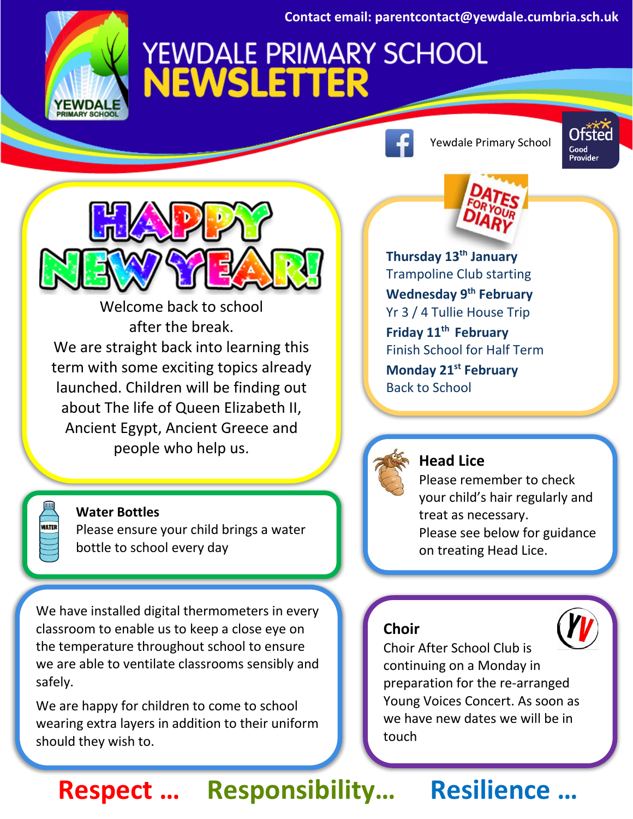**Contact email: parentcontact@yewdale.cumbria.sch.uk**

# **EWDA**

## **YEWDALE PRIMARY SCHOOL<br>NEWSLETTER**



Welcome back to school after the break. We are straight back into learning this term with some exciting topics already launched. Children will be finding out about The life of Queen Elizabeth II, Ancient Egypt, Ancient Greece and people who help us.

**Water Bottles**

Please ensure your child brings a water bottle to school every day

We have installed digital thermometers in every classroom to enable us to keep a close eye on the temperature throughout school to ensure we are able to ventilate classrooms sensibly and safely.

We are happy for children to come to school wearing extra layers in addition to their uniform should they wish to.

Yewdale Primary School



**Thursday 13th January** Trampoline Club starting **Wednesday 9th February** Yr 3 / 4 Tullie House Trip **Friday 11th February** Finish School for Half Term **Monday 21st February** Back to School



#### **Head Lice**

Please remember to check your child's hair regularly and treat as necessary. Please see below for guidance on treating Head Lice.

#### **Choir**



Choir After School Club is continuing on a Monday in preparation for the re-arranged Young Voices Concert. As soon as we have new dates we will be in touch

## **Respect … Responsibility… Resilience …**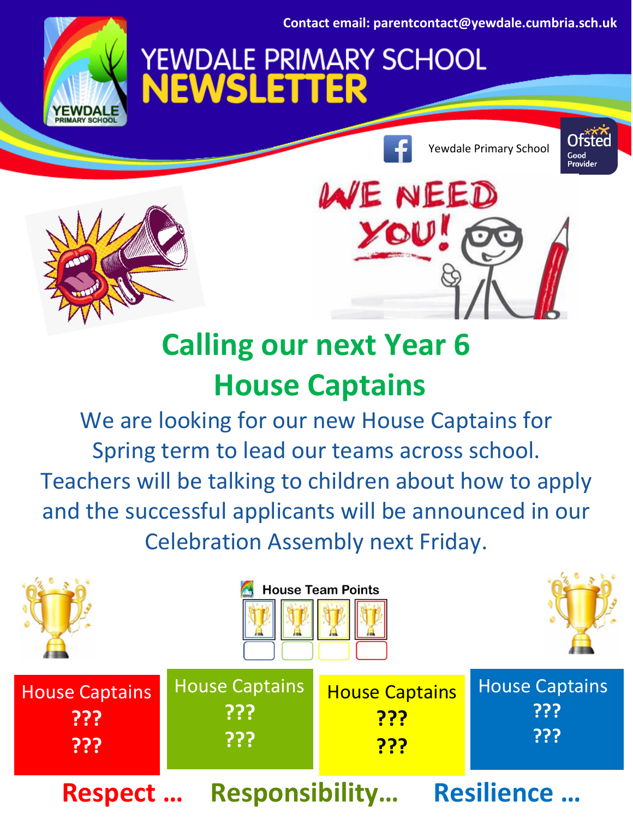**Contact email: parentcontact@yewdale.cumbria.sch.uk**

**YEWDALE PRIMARY SCHOOL<br>NEWSLETTER** 

Yewdale Primary School







## **Calling our next Year 6 House Captains**

We are looking for our new House Captains for Spring term to lead our teams across school. Teachers will be talking to children about how to apply and the successful applicants will be announced in our Celebration Assembly next Friday.

|                                                               | <b>House Team Points</b>            |                                                   |                                     |
|---------------------------------------------------------------|-------------------------------------|---------------------------------------------------|-------------------------------------|
| <b>House Captains</b><br>???<br>???                           | <b>House Captains</b><br>???<br>??? | <b>House Captains</b><br><u>???</u><br><u>???</u> | <b>House Captains</b><br>???<br>??? |
| <b>Responsibility</b><br><b>Resilience </b><br><b>Respect</b> |                                     |                                                   |                                     |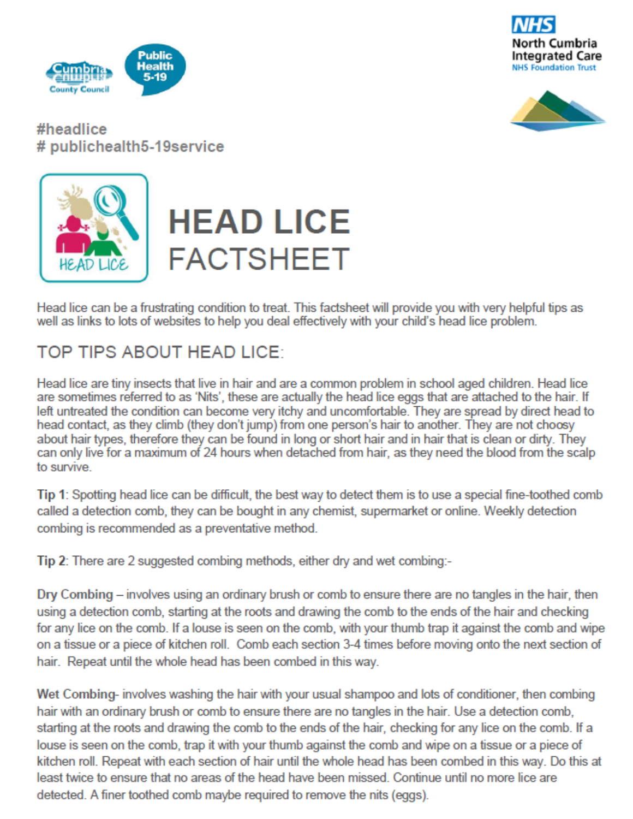





#headlice # publichealth5-19service



## **HEAD LICE FACTSHEET**

Head lice can be a frustrating condition to treat. This factsheet will provide you with very helpful tips as well as links to lots of websites to help you deal effectively with your child's head lice problem.

## **TOP TIPS ABOUT HEAD LICE:**

Head lice are tiny insects that live in hair and are a common problem in school aged children. Head lice are sometimes referred to as 'Nits', these are actually the head lice eggs that are attached to the hair. If left untreated the condition can become very itchy and uncomfortable. They are spread by direct head to head contact, as they climb (they don't jump) from one person's hair to another. They are not choosy about hair types, therefore they can be found in long or short hair and in hair that is clean or dirty. They can only live for a maximum of 24 hours when detached from hair, as they need the blood from the scalp to survive.

Tip 1: Spotting head lice can be difficult, the best way to detect them is to use a special fine-toothed comb called a detection comb, they can be bought in any chemist, supermarket or online. Weekly detection combing is recommended as a preventative method.

Tip 2: There are 2 suggested combing methods, either dry and wet combing:-

Dry Combing – involves using an ordinary brush or comb to ensure there are no tangles in the hair, then using a detection comb, starting at the roots and drawing the comb to the ends of the hair and checking for any lice on the comb. If a louse is seen on the comb, with your thumb trap it against the comb and wipe on a tissue or a piece of kitchen roll. Comb each section 3-4 times before moving onto the next section of hair. Repeat until the whole head has been combed in this way.

Wet Combing- involves washing the hair with your usual shampoo and lots of conditioner, then combing hair with an ordinary brush or comb to ensure there are no tangles in the hair. Use a detection comb, starting at the roots and drawing the comb to the ends of the hair, checking for any lice on the comb. If a louse is seen on the comb, trap it with your thumb against the comb and wipe on a tissue or a piece of kitchen roll. Repeat with each section of hair until the whole head has been combed in this way. Do this at least twice to ensure that no areas of the head have been missed. Continue until no more lice are detected. A finer toothed comb maybe required to remove the nits (eggs).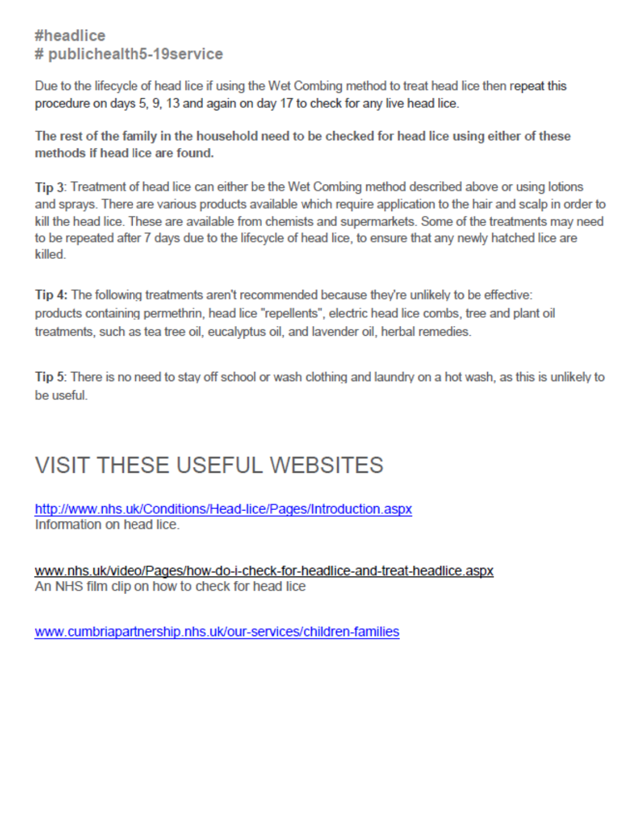### #headlice # publichealth5-19service

Due to the lifecycle of head lice if using the Wet Combing method to treat head lice then repeat this procedure on days 5, 9, 13 and again on day 17 to check for any live head lice.

The rest of the family in the household need to be checked for head lice using either of these methods if head lice are found.

Tip 3: Treatment of head lice can either be the Wet Combing method described above or using lotions and sprays. There are various products available which require application to the hair and scalp in order to kill the head lice. These are available from chemists and supermarkets. Some of the treatments may need to be repeated after 7 days due to the lifecycle of head lice, to ensure that any newly hatched lice are killed

Tip 4: The following treatments aren't recommended because they're unlikely to be effective: products containing permethrin, head lice "repellents", electric head lice combs, tree and plant oil treatments, such as tea tree oil, eucalyptus oil, and lavender oil, herbal remedies.

Tip 5: There is no need to stay off school or wash clothing and laundry on a hot wash, as this is unlikely to be useful

## **VISIT THESE USEFUL WEBSITES**

http://www.nhs.uk/Conditions/Head-lice/Pages/Introduction.aspx Information on head lice

www.nhs.uk/video/Pages/how-do-i-check-for-headlice-and-treat-headlice.aspx An NHS film clip on how to check for head lice

www.cumbriapartnership.nhs.uk/our-services/children-families